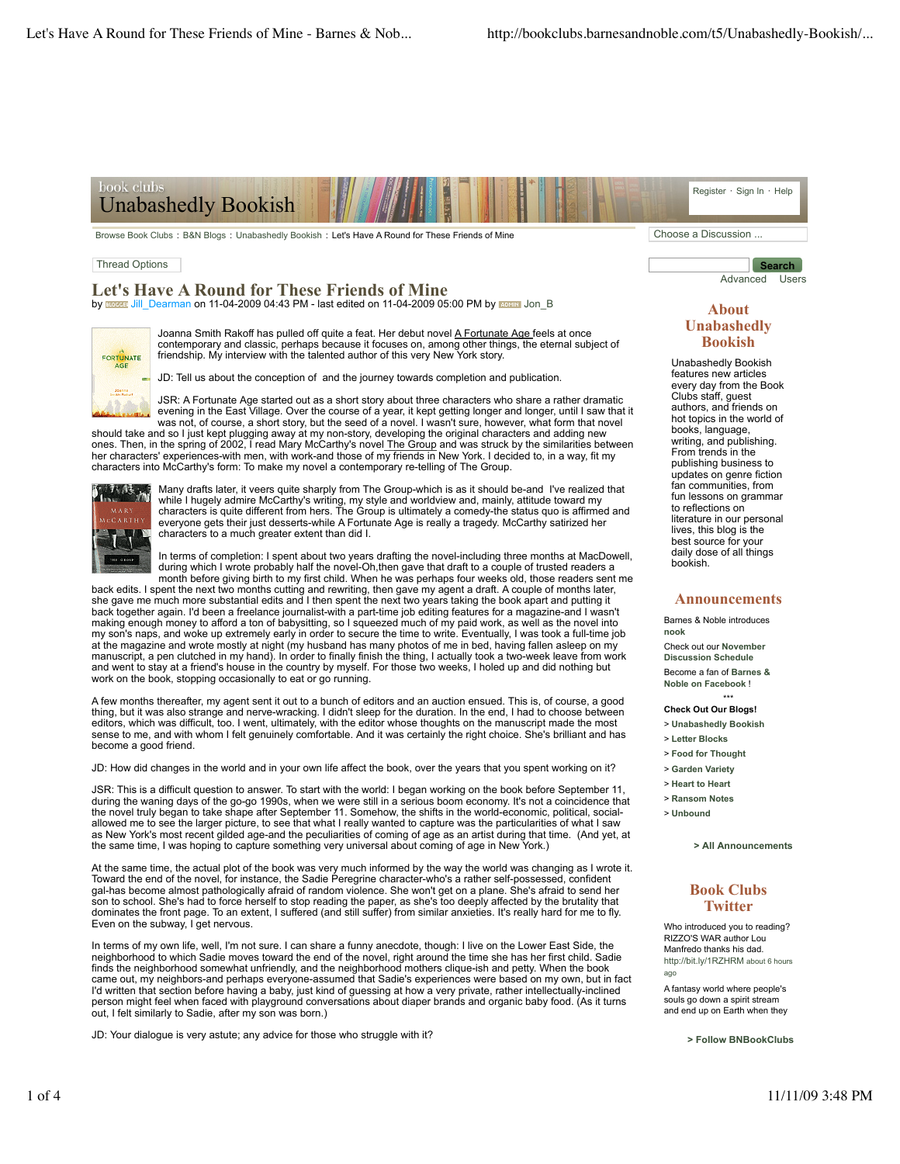# book clubs Unabashedly Bookish

Browse Book Clubs : B&N Blogs : Unabashedly Bookish : Let's Have A Round for These Friends of Mine Choose a Discussion ...

#### Thread Options

# **Let's Have A Round for These Friends of Mine**

by **Borgest** Jill\_Dearman on 11-04-2009 04:43 PM - last edited on 11-04-2009 05:00 PM by **EXIGHIS** Jon B



Joanna Smith Rakoff has pulled off quite a feat. Her debut novel A Fortunate Age feels at once contemporary and classic, perhaps because it focuses on, among other things, the eternal subject of friendship. My interview with the talented author of this very New York story.

JD: Tell us about the conception of and the journey towards completion and publication.

JSR: A Fortunate Age started out as a short story about three characters who share a rather dramatic evening in the East Village. Over the course of a year, it kept getting longer and longer, until I saw that it was not, of course, a short story, but the seed of a novel. I wasn't sure, however, what form that novel

should take and so I just kept plugging away at my non-story, developing the original characters and adding new ones. Then, in the spring of 2002, I read Mary McCarthy's novel The Group and was struck by the similarities between her characters' experiences-with men, with work-and those of my friends in New York. I decided to, in a way, fit my characters into McCarthy's form: To make my novel a contemporary re-telling of The Group.



Many drafts later, it veers quite sharply from The Group-which is as it should be-and I've realized that while I hugely admire McCarthy's writing, my style and worldview and, mainly, attitude toward my characters is quite different from hers. The Group is ultimately a comedy-the status quo is affirmed and everyone gets their just desserts-while A Fortunate Age is really a tragedy. McCarthy satirized her characters to a much greater extent than did I.

In terms of completion: I spent about two years drafting the novel-including three months at MacDowell, during which I wrote probably half the novel-Oh,then gave that draft to a couple of trusted readers a month before giving birth to my first child. When he was perhaps four weeks old, those readers sent me

back edits. I spent the next two months cutting and rewriting, then gave my agent a draft. A couple of months later, she gave me much more substantial edits and I then spent the next two years taking the book apart and putting it back together again. I'd been a freelance journalist-with a part-time job editing features for a magazine-and I wasn't making enough money to afford a ton of babysitting, so I squeezed much of my paid work, as well as the novel into my son's naps, and woke up extremely early in order to secure the time to write. Eventually, I was took a full-time job at the magazine and wrote mostly at night (my husband has many photos of me in bed, having fallen asleep on my<br>manuscript, a pen clutched in my hand). In order to finally finish the thing, I actually took a two-week leave and went to stay at a friend's house in the country by myself. For those two weeks, I holed up and did nothing but work on the book, stopping occasionally to eat or go running.

A few months thereafter, my agent sent it out to a bunch of editors and an auction ensued. This is, of course, a good<br>thing, but it was also strange and nerve-wracking. I didn't sleep for the duration. In the end, I had to sense to me, and with whom I felt genuinely comfortable. And it was certainly the right choice. She's brilliant and has become a good friend.

JD: How did changes in the world and in your own life affect the book, over the years that you spent working on it?

JSR: This is a difficult question to answer. To start with the world: I began working on the book before September 11, during the waning days of the go-go 1990s, when we were still in a serious boom economy. It's not a coincidence that<br>the novel truly began to take shape after September 11. Somehow, the shifts in the world-economic, politi allowed me to see the larger picture, to see that what I really wanted to capture was the particularities of what I saw as New York's most recent gilded age-and the peculiarities of coming of age as an artist during that time. (And yet, at the same time, I was hoping to capture something very universal about coming of age in New York.)

At the same time, the actual plot of the book was very much informed by the way the world was changing as I wrote it. Toward the end of the novel, for instance, the Sadie Peregrine character-who's a rather self-possessed, confident gal-has become almost pathologically afraid of random violence. She won't get on a plane. She's afraid to send her son to school. She's had to force herself to stop reading the paper, as she's too deeply affected by the brutality that<br>dominates the front page. To an extent, I suffered (and still suffer) from similar anxieties. It's rea Even on the subway, I get nervous.

In terms of my own life, well, I'm not sure. I can share a funny anecdote, though: I live on the Lower East Side, the neighborhood to which Sadie moves toward the end of the novel, right around the time she has her first child. Sadie finds the neighborhood somewhat unfriendly, and the neighborhood mothers clique-ish and petty. When the book came out, my neighbors-and perhaps everyone-assumed that Sadie's experiences were based on my own, but in fact<br>I'd written that section before having a baby, just kind of guessing at how a very private, rather intellectual out, I felt similarly to Sadie, after my son was born.)

JD: Your dialogue is very astute; any advice for those who struggle with it?

**Search** Advanced Users

Register · Sign In · Help

#### **About Unabashedly Bookish**

Unabashedly Bookish features new articles every day from the Book Clubs staff, guest authors, and friends on hot topics in the world of books, language, writing, and publishing. From trends in the publishing business to updates on genre fiction fan communities, from fun lessons on grammar to reflections on literature in our personal lives, this blog is the best source for your daily dose of all things bookish.

#### **Announcements**

Barnes & Noble introduces **nook** Check out our **November Discussion Schedule** Become a fan of **Barnes & Noble on Facebook** !

\*\*\* **Check Out Our Blogs!**

- > **Unabashedly Bookish**
- > **Letter Blocks**
- > **Food for Thought**
- > **Garden Variety**
- > **Heart to Heart**
- > **Ransom Notes** > **Unbound**

**> All Announcements**

## **Book Clubs Twitter**

Who introduced you to reading? RIZZO'S WAR author Lou Manfredo thanks his dad. http://bit.ly/1RZHRM about 6 hours ago

A fantasy world where people's souls go down a spirit stream and end up on Earth when they

**> Follow BNBookClubs**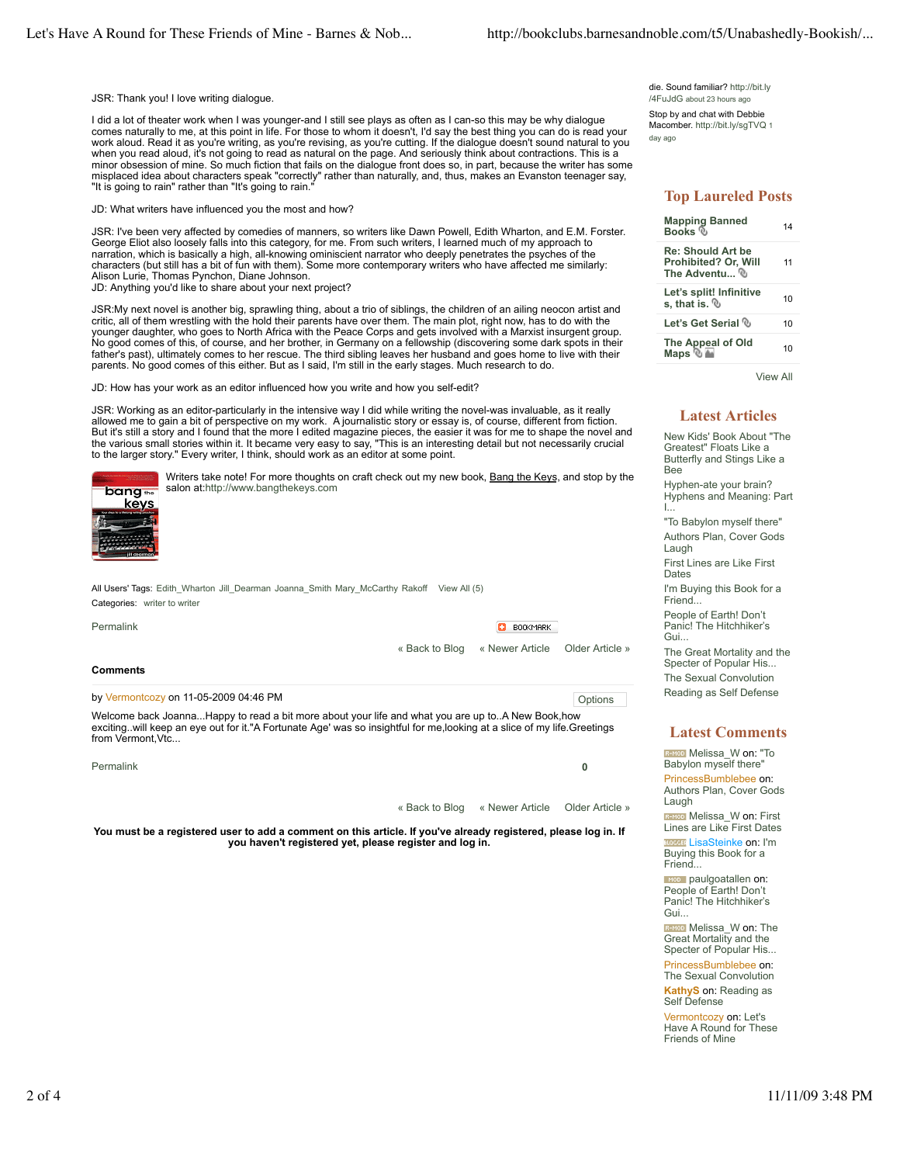JSR: Thank you! I love writing dialogue.

I did a lot of theater work when I was younger-and I still see plays as often as I can-so this may be why dialogue comes naturally to me, at this point in life. For those to whom it doesn't, I'd say the best thing you can do is read your work aloud. Read it as you're writing, as you're revising, as you're cutting. If the dialogue doesn't sound natural to you when you read aloud, it's not going to read as natural on the page. And seriously think about contractions. This is a minor obsession of mine. So much fiction that fails on the dialogue front does so, in part, because the writer has some misplaced idea about characters speak "correctly" rather than naturally, and, thus, makes an Evanston teenager say, "It is going to rain" rather than "It's going to rain.

JD: What writers have influenced you the most and how?

JSR: I've been very affected by comedies of manners, so writers like Dawn Powell, Edith Wharton, and E.M. Forster. George Eliot also loosely falls into this category, for me. From such writers, I learned much of my approach to narration, which is basically a high, all-knowing ominiscient narrator who deeply penetrates the psyches of the characters (but still has a bit of fun with them). Some more contemporary writers who have affected me similarly: Alison Lurie, Thomas Pynchon, Diane Johnson. JD: Anything you'd like to share about your next project?

JSR:My next novel is another big, sprawling thing, about a trio of siblings, the children of an ailing neocon artist and critic, all of them wrestling with the hold their parents have over them. The main plot, right now, has to do with the younger daughter, who goes to North Africa with the Peace Corps and gets involved with a Marxist insurgent group. No good comes of this, of course, and her brother, in Germany on a fellowship (discovering some dark spots in their father's past), ultimately comes to her rescue. The third sibling leaves her husband and goes home to live with their parents. No good comes of this either. But as I said, I'm still in the early stages. Much research to do.

JD: How has your work as an editor influenced how you write and how you self-edit?

JSR: Working as an editor-particularly in the intensive way I did while writing the novel-was invaluable, as it really allowed me to gain a bit of perspective on my work. A journalistic story or essay is, of course, different from fiction. But it's still a story and I found that the more I edited magazine pieces, the easier it was for me to shape the novel and the various small stories within it. It became very easy to say, "This is an interesting detail but not necessarily crucial<br>to the larger story." Every writer, I think, should work as an editor at some point.



Writers take note! For more thoughts on craft check out my new book, Bang the Keys, and stop by the salon at:http://www.bangthekeys.com

All Users' Tags: Edith\_Wharton Jill\_Dearman Joanna\_Smith Mary\_McCarthy Rakoff View All (5) Categories: writer to writer

| Permalink       | <b>BOOKMARK</b><br>п                           |  |
|-----------------|------------------------------------------------|--|
|                 | « Back to Blog « Newer Article Older Article » |  |
| <b>Comments</b> |                                                |  |
|                 |                                                |  |

by Vermontcozy on 11-05-2009 04:46 PM **Development** of the state of the state of the options of the state of the state of the state of the state of the state of the state of the state of the state of the state of the state

Welcome back Joanna...Happy to read a bit more about your life and what you are up to..A New Book,how exciting..will keep an eye out for it."A Fortunate Age' was so insightful for me,looking at a slice of my life.Greetings from Vermont, Vtc...

| Permalink |                                                |  |
|-----------|------------------------------------------------|--|
|           |                                                |  |
|           | « Back to Blog « Newer Article Older Article » |  |

**You must be a registered user to add a comment on this article. If you've already registered, please log in. If you haven't registered yet, please register and log in.**

die. Sound familiar? http://bit.ly /4FuJdG about 23 hours ago

Stop by and chat with Debbie Macomber. http://bit.lv/sqTVQ 1 day ago

# **Top Laureled Posts**

| <b>Mapping Banned</b><br>Books <sup>®</sup>                       | 14 |
|-------------------------------------------------------------------|----|
| <b>Re: Should Art be</b><br>Prohibited? Or, Will<br>The Adventu ® | 11 |
| Let's split! Infinitive<br>s. that is, $%$                        | 10 |
| Let's Get Serial ®                                                | 10 |
| The Appeal of Old<br>Maps ® <del>A</del>                          | 10 |

View All

### **Latest Articles**

New Kids' Book About "The Greatest" Floats Like a Butterfly and Stings Like a Bee Hyphen-ate your brain? Hyphens and Meaning: Part I...

"To Babylon myself there" Authors Plan, Cover Gods Laugh First Lines are Like First Dates

I'm Buying this Book for a Friend...

People of Earth! Don't Panic! The Hitchhiker's Gui...

The Great Mortality and the Specter of Popular His... The Sexual Convolution Reading as Self Defense

## **Latest Comments**

**REMOD** Melissa\_W on: "To Babylon myself there' PrincessBumblebee on: Authors Plan, Cover Gods Laugh

R-MOD Melissa\_W on: First Lines are Like First Dates **BLOODER** LisaSteinke on: I'm Buying this Book for a Friend...

**paulgoatallen on:** People of Earth! Don't Panic! The Hitchhiker's Gui...

**REMOD** Melissa W on: The Great Mortality and the Specter of Popular His...

PrincessBumblebee on: The Sexual Convolution

**KathyS** on: Reading as Self Defense

Vermontcozy on: Let's Have A Round for These Friends of Mine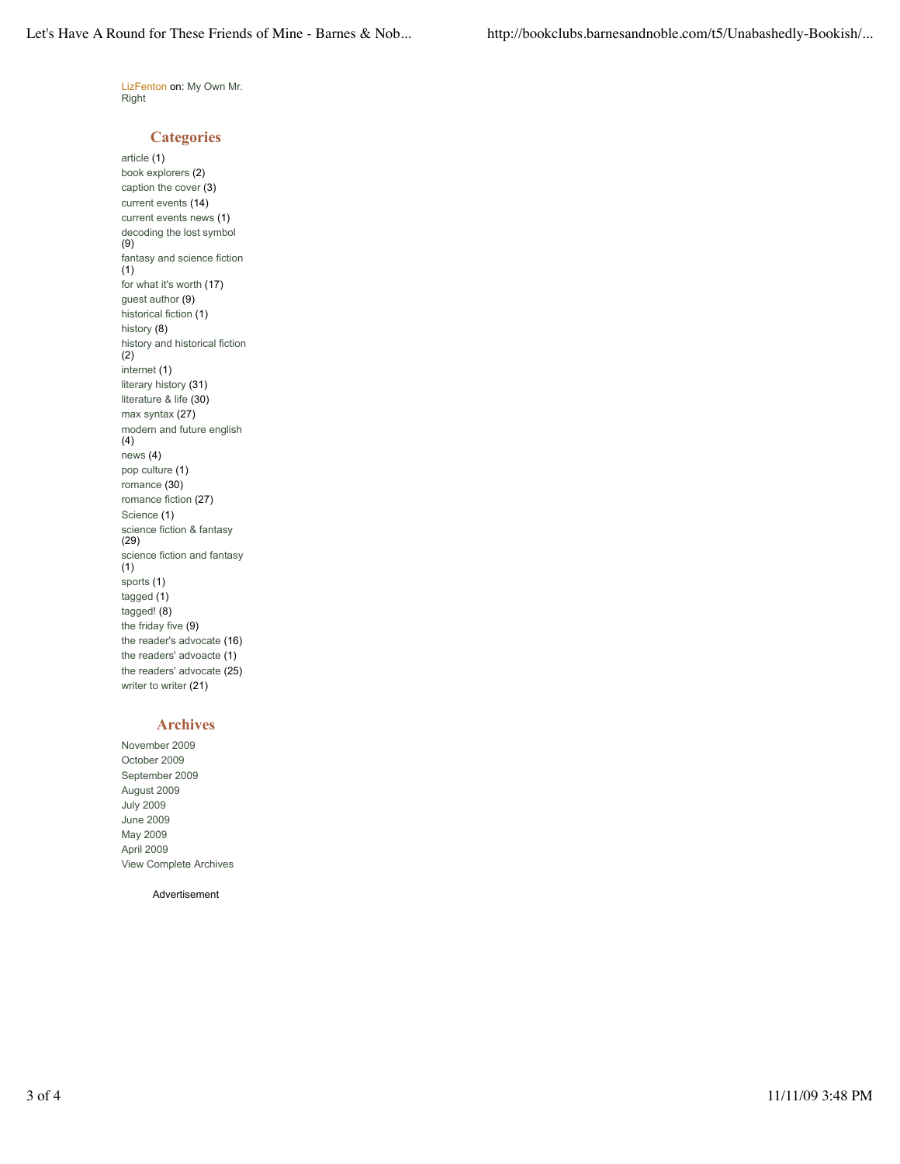LizFenton on: My Own Mr. **Right** 

## **Categories**

article (1) book explorers (2) caption the cover (3) current events (14) current events news (1) decoding the lost symbol (9) fantasy and science fiction (1) for what it's worth (17) guest author (9) historical fiction (1) history (8) history and historical fiction (2) internet (1) literary history (31) literature & life (30) max syntax (27) modern and future english (4) news (4) pop culture (1) romance (30) romance fiction (27) Science (1) science fiction & fantasy (29) science fiction and fantasy (1) sports (1) tagged (1) tagged! (8) the friday five (9) the reader's advocate (16) the readers' advoacte (1) the readers' advocate (25) writer to writer (21)

# **Archives**

November 2009 October 2009 September 2009 August 2009 July 2009 June 2009 May 2009 April 2009 View Complete Archives

Advertisement